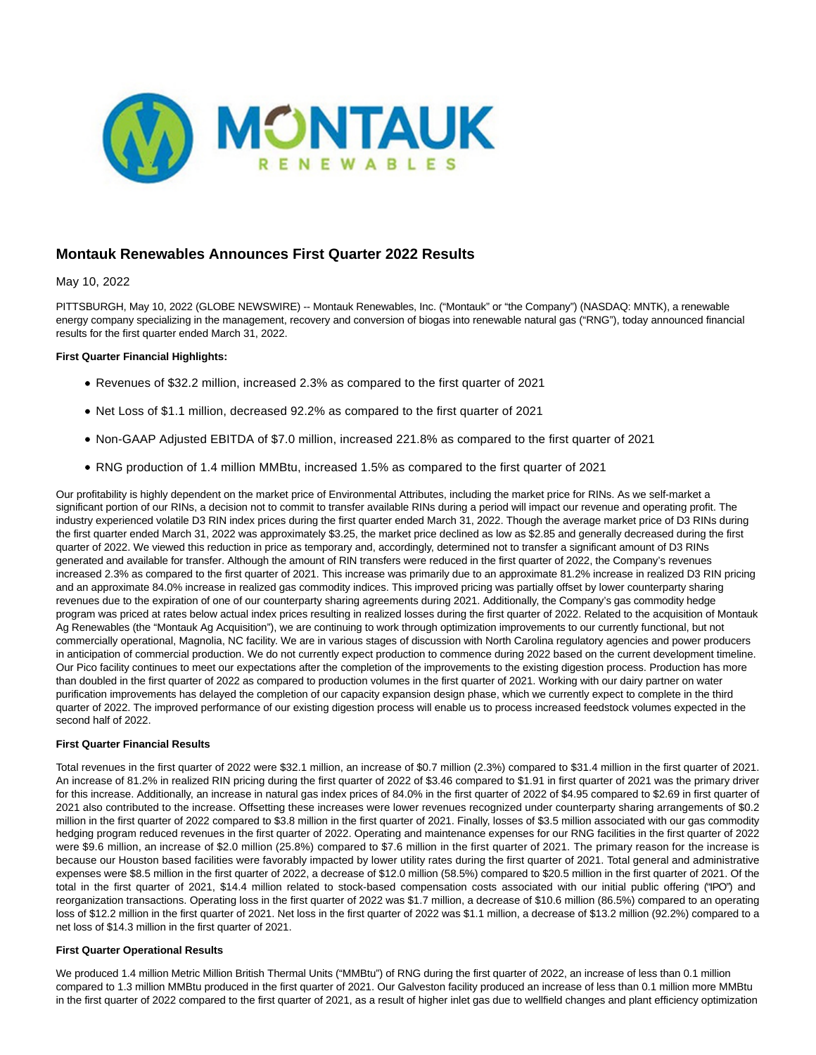

# **Montauk Renewables Announces First Quarter 2022 Results**

### May 10, 2022

PITTSBURGH, May 10, 2022 (GLOBE NEWSWIRE) -- Montauk Renewables, Inc. ("Montauk" or "the Company") (NASDAQ: MNTK), a renewable energy company specializing in the management, recovery and conversion of biogas into renewable natural gas ("RNG"), today announced financial results for the first quarter ended March 31, 2022.

### **First Quarter Financial Highlights:**

- Revenues of \$32.2 million, increased 2.3% as compared to the first quarter of 2021
- Net Loss of \$1.1 million, decreased 92.2% as compared to the first quarter of 2021
- Non-GAAP Adjusted EBITDA of \$7.0 million, increased 221.8% as compared to the first quarter of 2021
- RNG production of 1.4 million MMBtu, increased 1.5% as compared to the first quarter of 2021

Our profitability is highly dependent on the market price of Environmental Attributes, including the market price for RINs. As we self-market a significant portion of our RINs, a decision not to commit to transfer available RINs during a period will impact our revenue and operating profit. The industry experienced volatile D3 RIN index prices during the first quarter ended March 31, 2022. Though the average market price of D3 RINs during the first quarter ended March 31, 2022 was approximately \$3.25, the market price declined as low as \$2.85 and generally decreased during the first quarter of 2022. We viewed this reduction in price as temporary and, accordingly, determined not to transfer a significant amount of D3 RINs generated and available for transfer. Although the amount of RIN transfers were reduced in the first quarter of 2022, the Company's revenues increased 2.3% as compared to the first quarter of 2021. This increase was primarily due to an approximate 81.2% increase in realized D3 RIN pricing and an approximate 84.0% increase in realized gas commodity indices. This improved pricing was partially offset by lower counterparty sharing revenues due to the expiration of one of our counterparty sharing agreements during 2021. Additionally, the Company's gas commodity hedge program was priced at rates below actual index prices resulting in realized losses during the first quarter of 2022. Related to the acquisition of Montauk Ag Renewables (the "Montauk Ag Acquisition"), we are continuing to work through optimization improvements to our currently functional, but not commercially operational, Magnolia, NC facility. We are in various stages of discussion with North Carolina regulatory agencies and power producers in anticipation of commercial production. We do not currently expect production to commence during 2022 based on the current development timeline. Our Pico facility continues to meet our expectations after the completion of the improvements to the existing digestion process. Production has more than doubled in the first quarter of 2022 as compared to production volumes in the first quarter of 2021. Working with our dairy partner on water purification improvements has delayed the completion of our capacity expansion design phase, which we currently expect to complete in the third quarter of 2022. The improved performance of our existing digestion process will enable us to process increased feedstock volumes expected in the second half of 2022.

#### **First Quarter Financial Results**

Total revenues in the first quarter of 2022 were \$32.1 million, an increase of \$0.7 million (2.3%) compared to \$31.4 million in the first quarter of 2021. An increase of 81.2% in realized RIN pricing during the first quarter of 2022 of \$3.46 compared to \$1.91 in first quarter of 2021 was the primary driver for this increase. Additionally, an increase in natural gas index prices of 84.0% in the first quarter of 2022 of \$4.95 compared to \$2.69 in first quarter of 2021 also contributed to the increase. Offsetting these increases were lower revenues recognized under counterparty sharing arrangements of \$0.2 million in the first quarter of 2022 compared to \$3.8 million in the first quarter of 2021. Finally, losses of \$3.5 million associated with our gas commodity hedging program reduced revenues in the first quarter of 2022. Operating and maintenance expenses for our RNG facilities in the first quarter of 2022 were \$9.6 million, an increase of \$2.0 million (25.8%) compared to \$7.6 million in the first quarter of 2021. The primary reason for the increase is because our Houston based facilities were favorably impacted by lower utility rates during the first quarter of 2021. Total general and administrative expenses were \$8.5 million in the first quarter of 2022, a decrease of \$12.0 million (58.5%) compared to \$20.5 million in the first quarter of 2021. Of the total in the first quarter of 2021, \$14.4 million related to stock-based compensation costs associated with our initial public offering ("IPO") and reorganization transactions. Operating loss in the first quarter of 2022 was \$1.7 million, a decrease of \$10.6 million (86.5%) compared to an operating loss of \$12.2 million in the first quarter of 2021. Net loss in the first quarter of 2022 was \$1.1 million, a decrease of \$13.2 million (92.2%) compared to a net loss of \$14.3 million in the first quarter of 2021.

#### **First Quarter Operational Results**

We produced 1.4 million Metric Million British Thermal Units ("MMBtu") of RNG during the first quarter of 2022, an increase of less than 0.1 million compared to 1.3 million MMBtu produced in the first quarter of 2021. Our Galveston facility produced an increase of less than 0.1 million more MMBtu in the first quarter of 2022 compared to the first quarter of 2021, as a result of higher inlet gas due to wellfield changes and plant efficiency optimization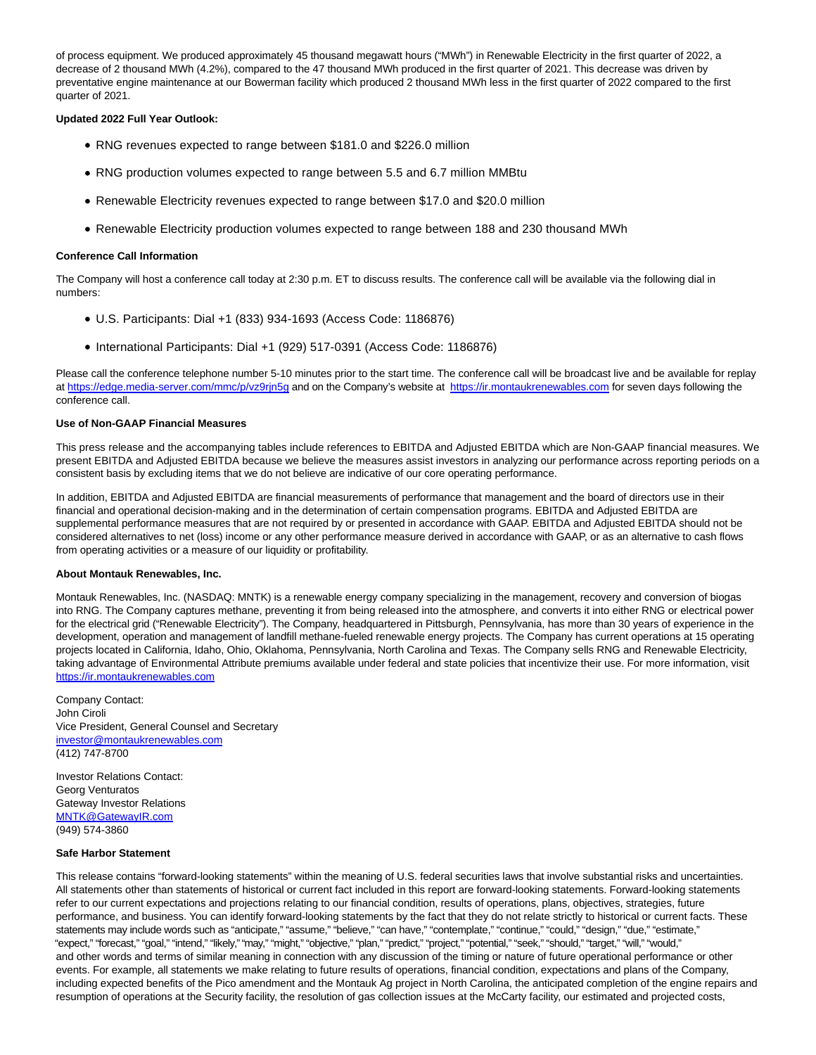of process equipment. We produced approximately 45 thousand megawatt hours ("MWh") in Renewable Electricity in the first quarter of 2022, a decrease of 2 thousand MWh (4.2%), compared to the 47 thousand MWh produced in the first quarter of 2021. This decrease was driven by preventative engine maintenance at our Bowerman facility which produced 2 thousand MWh less in the first quarter of 2022 compared to the first quarter of 2021.

#### **Updated 2022 Full Year Outlook:**

- RNG revenues expected to range between \$181.0 and \$226.0 million
- RNG production volumes expected to range between 5.5 and 6.7 million MMBtu
- Renewable Electricity revenues expected to range between \$17.0 and \$20.0 million
- Renewable Electricity production volumes expected to range between 188 and 230 thousand MWh

#### **Conference Call Information**

The Company will host a conference call today at 2:30 p.m. ET to discuss results. The conference call will be available via the following dial in numbers:

- U.S. Participants: Dial +1 (833) 934-1693 (Access Code: 1186876)
- International Participants: Dial +1 (929) 517-0391 (Access Code: 1186876)

Please call the conference telephone number 5-10 minutes prior to the start time. The conference call will be broadcast live and be available for replay at [https://edge.media-server.com/mmc/p/vz9rjn5g a](https://www.globenewswire.com/Tracker?data=OlOIpJ70p3ayZu5nmOqU49xzzkn-ICZYbXZPHcRH5B7tbmfdf_tSB85lEwDqtZrwktHT_DvsB8-E0a9OZwbCZvq3sf0oJudnj_18DfVpA8IcRnxU5qkSz-yUyPN0Qj9V--iyRO1XlqwsM5wDbveeng==)nd on the Company's website at [https://ir.montaukrenewables.com f](https://www.globenewswire.com/Tracker?data=OlOIpJ70p3ayZu5nmOqU4xgPvOloXb6PvhvwogRFswOpoFz_UoXoRjsUzzyeHQ_UuVYOxo-ne6e5Xg5NVBNLV6yrH-_vvHLaVbq01LWgLBqcxZjHpQ4Ir5NIh-26X30k)or seven days following the conference call.

#### **Use of Non-GAAP Financial Measures**

This press release and the accompanying tables include references to EBITDA and Adjusted EBITDA which are Non-GAAP financial measures. We present EBITDA and Adjusted EBITDA because we believe the measures assist investors in analyzing our performance across reporting periods on a consistent basis by excluding items that we do not believe are indicative of our core operating performance.

In addition, EBITDA and Adjusted EBITDA are financial measurements of performance that management and the board of directors use in their financial and operational decision-making and in the determination of certain compensation programs. EBITDA and Adjusted EBITDA are supplemental performance measures that are not required by or presented in accordance with GAAP. EBITDA and Adjusted EBITDA should not be considered alternatives to net (loss) income or any other performance measure derived in accordance with GAAP, or as an alternative to cash flows from operating activities or a measure of our liquidity or profitability.

#### **About Montauk Renewables, Inc.**

Montauk Renewables, Inc. (NASDAQ: MNTK) is a renewable energy company specializing in the management, recovery and conversion of biogas into RNG. The Company captures methane, preventing it from being released into the atmosphere, and converts it into either RNG or electrical power for the electrical grid ("Renewable Electricity"). The Company, headquartered in Pittsburgh, Pennsylvania, has more than 30 years of experience in the development, operation and management of landfill methane-fueled renewable energy projects. The Company has current operations at 15 operating projects located in California, Idaho, Ohio, Oklahoma, Pennsylvania, North Carolina and Texas. The Company sells RNG and Renewable Electricity, taking advantage of Environmental Attribute premiums available under federal and state policies that incentivize their use. For more information, visit [https://ir.montaukrenewables.com](https://www.globenewswire.com/Tracker?data=OlOIpJ70p3ayZu5nmOqU4xgPvOloXb6PvhvwogRFswP2q01MwqQGfGZeYwLtNFWMVil0T5F1YRvr--TORs-iCZ2n-vYdKs1-oiOfdILco3C3-BDaHzmwjsNqlz-BScYL)

Company Contact: John Ciroli Vice President, General Counsel and Secretary [investor@montaukrenewables.com](https://www.globenewswire.com/Tracker?data=eCtQdywis8ng_WzesmgmE4D8S7RXbNicqyCfERtWd_upcQy-Kk8EfnFQZfJCu6wwbz_GD2lckqnBNzO393PElgCWoiRYtmn3kpmMCEuDp7RpCFNkSG5SoltMVYyrjzcR) (412) 747-8700

Investor Relations Contact: Georg Venturatos Gateway Investor Relations [MNTK@GatewayIR.com](https://www.globenewswire.com/Tracker?data=3VpIaReR9cw0YbiG75Dx38i6i5ri00Yickk2TRvmIl5fFR5WeBeh0k32YsJAAWZgc25wvEEExQO2WKQ4Fa8u0IvccwuFhZLHHSMFyeVGKMs=) (949) 574-3860

#### **Safe Harbor Statement**

This release contains "forward-looking statements" within the meaning of U.S. federal securities laws that involve substantial risks and uncertainties. All statements other than statements of historical or current fact included in this report are forward-looking statements. Forward-looking statements refer to our current expectations and projections relating to our financial condition, results of operations, plans, objectives, strategies, future performance, and business. You can identify forward-looking statements by the fact that they do not relate strictly to historical or current facts. These statements may include words such as "anticipate," "assume," "believe," "can have," "contemplate," "continue," "could," "design," "due," "estimate," "expect," "forecast," "goal," "intend," "likely," "may," "might," "objective," "plan," "predict," "project," "potential," "seek," "should," "target," "will," "would," and other words and terms of similar meaning in connection with any discussion of the timing or nature of future operational performance or other events. For example, all statements we make relating to future results of operations, financial condition, expectations and plans of the Company, including expected benefits of the Pico amendment and the Montauk Ag project in North Carolina, the anticipated completion of the engine repairs and resumption of operations at the Security facility, the resolution of gas collection issues at the McCarty facility, our estimated and projected costs,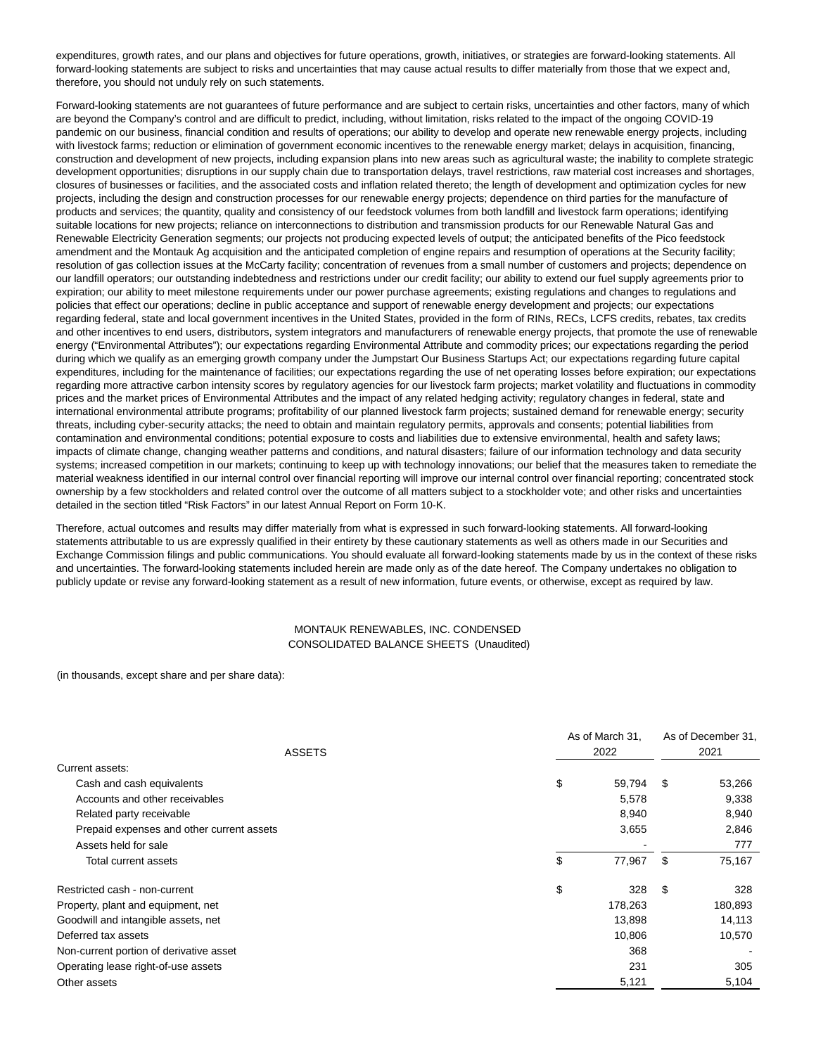expenditures, growth rates, and our plans and objectives for future operations, growth, initiatives, or strategies are forward-looking statements. All forward-looking statements are subject to risks and uncertainties that may cause actual results to differ materially from those that we expect and, therefore, you should not unduly rely on such statements.

Forward-looking statements are not guarantees of future performance and are subject to certain risks, uncertainties and other factors, many of which are beyond the Company's control and are difficult to predict, including, without limitation, risks related to the impact of the ongoing COVID-19 pandemic on our business, financial condition and results of operations; our ability to develop and operate new renewable energy projects, including with livestock farms; reduction or elimination of government economic incentives to the renewable energy market; delays in acquisition, financing, construction and development of new projects, including expansion plans into new areas such as agricultural waste; the inability to complete strategic development opportunities; disruptions in our supply chain due to transportation delays, travel restrictions, raw material cost increases and shortages, closures of businesses or facilities, and the associated costs and inflation related thereto; the length of development and optimization cycles for new projects, including the design and construction processes for our renewable energy projects; dependence on third parties for the manufacture of products and services; the quantity, quality and consistency of our feedstock volumes from both landfill and livestock farm operations; identifying suitable locations for new projects; reliance on interconnections to distribution and transmission products for our Renewable Natural Gas and Renewable Electricity Generation segments; our projects not producing expected levels of output; the anticipated benefits of the Pico feedstock amendment and the Montauk Ag acquisition and the anticipated completion of engine repairs and resumption of operations at the Security facility; resolution of gas collection issues at the McCarty facility; concentration of revenues from a small number of customers and projects; dependence on our landfill operators; our outstanding indebtedness and restrictions under our credit facility; our ability to extend our fuel supply agreements prior to expiration; our ability to meet milestone requirements under our power purchase agreements; existing regulations and changes to regulations and policies that effect our operations; decline in public acceptance and support of renewable energy development and projects; our expectations regarding federal, state and local government incentives in the United States, provided in the form of RINs, RECs, LCFS credits, rebates, tax credits and other incentives to end users, distributors, system integrators and manufacturers of renewable energy projects, that promote the use of renewable energy ("Environmental Attributes"); our expectations regarding Environmental Attribute and commodity prices; our expectations regarding the period during which we qualify as an emerging growth company under the Jumpstart Our Business Startups Act; our expectations regarding future capital expenditures, including for the maintenance of facilities; our expectations regarding the use of net operating losses before expiration; our expectations regarding more attractive carbon intensity scores by regulatory agencies for our livestock farm projects; market volatility and fluctuations in commodity prices and the market prices of Environmental Attributes and the impact of any related hedging activity; regulatory changes in federal, state and international environmental attribute programs; profitability of our planned livestock farm projects; sustained demand for renewable energy; security threats, including cyber-security attacks; the need to obtain and maintain regulatory permits, approvals and consents; potential liabilities from contamination and environmental conditions; potential exposure to costs and liabilities due to extensive environmental, health and safety laws; impacts of climate change, changing weather patterns and conditions, and natural disasters; failure of our information technology and data security systems; increased competition in our markets; continuing to keep up with technology innovations; our belief that the measures taken to remediate the material weakness identified in our internal control over financial reporting will improve our internal control over financial reporting; concentrated stock ownership by a few stockholders and related control over the outcome of all matters subject to a stockholder vote; and other risks and uncertainties detailed in the section titled "Risk Factors" in our latest Annual Report on Form 10-K.

Therefore, actual outcomes and results may differ materially from what is expressed in such forward-looking statements. All forward-looking statements attributable to us are expressly qualified in their entirety by these cautionary statements as well as others made in our Securities and Exchange Commission filings and public communications. You should evaluate all forward-looking statements made by us in the context of these risks and uncertainties. The forward-looking statements included herein are made only as of the date hereof. The Company undertakes no obligation to publicly update or revise any forward-looking statement as a result of new information, future events, or otherwise, except as required by law.

### MONTAUK RENEWABLES, INC. CONDENSED CONSOLIDATED BALANCE SHEETS (Unaudited)

(in thousands, except share and per share data):

|                                           | As of March 31,<br>2022 |         | As of December 31,<br>2021 |         |
|-------------------------------------------|-------------------------|---------|----------------------------|---------|
| <b>ASSETS</b>                             |                         |         |                            |         |
| Current assets:                           |                         |         |                            |         |
| Cash and cash equivalents                 | \$                      | 59,794  | - \$                       | 53,266  |
| Accounts and other receivables            |                         | 5,578   |                            | 9,338   |
| Related party receivable                  |                         | 8,940   |                            | 8,940   |
| Prepaid expenses and other current assets |                         | 3,655   |                            | 2,846   |
| Assets held for sale                      |                         |         |                            | 777     |
| Total current assets                      | \$                      | 77,967  | S                          | 75,167  |
| Restricted cash - non-current             | \$                      | 328     | \$                         | 328     |
| Property, plant and equipment, net        |                         | 178,263 |                            | 180,893 |
| Goodwill and intangible assets, net       |                         | 13,898  |                            | 14,113  |
| Deferred tax assets                       |                         | 10,806  |                            | 10,570  |
| Non-current portion of derivative asset   |                         | 368     |                            |         |
| Operating lease right-of-use assets       |                         | 231     |                            | 305     |
| Other assets                              |                         | 5,121   |                            | 5,104   |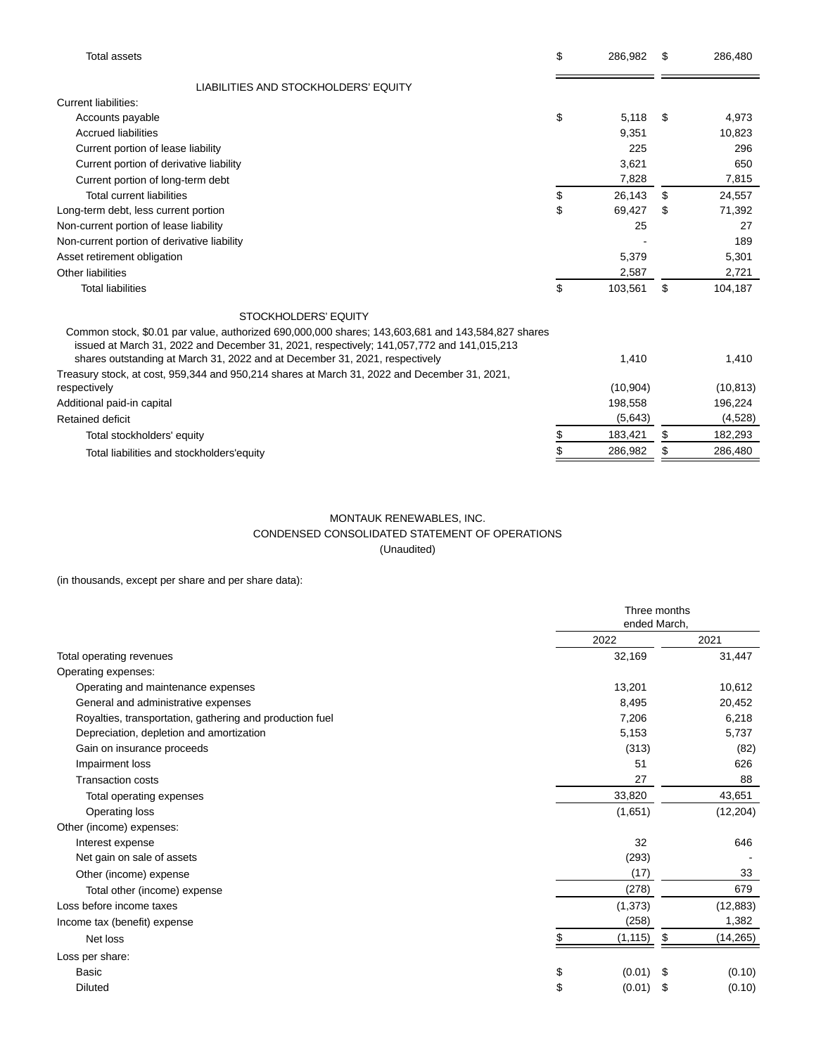| <b>Total assets</b>                                                                                                                                                                                                                                                           | \$<br>286,982 | \$. | 286,480   |
|-------------------------------------------------------------------------------------------------------------------------------------------------------------------------------------------------------------------------------------------------------------------------------|---------------|-----|-----------|
| LIABILITIES AND STOCKHOLDERS' EQUITY                                                                                                                                                                                                                                          |               |     |           |
| Current liabilities:                                                                                                                                                                                                                                                          |               |     |           |
| Accounts payable                                                                                                                                                                                                                                                              | \$<br>5,118   | S   | 4,973     |
| <b>Accrued liabilities</b>                                                                                                                                                                                                                                                    | 9,351         |     | 10,823    |
| Current portion of lease liability                                                                                                                                                                                                                                            | 225           |     | 296       |
| Current portion of derivative liability                                                                                                                                                                                                                                       | 3,621         |     | 650       |
| Current portion of long-term debt                                                                                                                                                                                                                                             | 7,828         |     | 7,815     |
| <b>Total current liabilities</b>                                                                                                                                                                                                                                              | \$<br>26,143  | \$  | 24,557    |
| Long-term debt, less current portion                                                                                                                                                                                                                                          | \$<br>69,427  | \$  | 71,392    |
| Non-current portion of lease liability                                                                                                                                                                                                                                        | 25            |     | 27        |
| Non-current portion of derivative liability                                                                                                                                                                                                                                   |               |     | 189       |
| Asset retirement obligation                                                                                                                                                                                                                                                   | 5,379         |     | 5,301     |
| Other liabilities                                                                                                                                                                                                                                                             | 2,587         |     | 2,721     |
| <b>Total liabilities</b>                                                                                                                                                                                                                                                      | \$<br>103,561 | \$  | 104,187   |
| STOCKHOLDERS' EQUITY                                                                                                                                                                                                                                                          |               |     |           |
| Common stock, \$0.01 par value, authorized 690,000,000 shares; 143,603,681 and 143,584,827 shares<br>issued at March 31, 2022 and December 31, 2021, respectively; 141,057,772 and 141,015,213<br>shares outstanding at March 31, 2022 and at December 31, 2021, respectively | 1.410         |     | 1,410     |
| Treasury stock, at cost, 959,344 and 950,214 shares at March 31, 2022 and December 31, 2021,                                                                                                                                                                                  |               |     |           |
| respectively                                                                                                                                                                                                                                                                  | (10, 904)     |     | (10, 813) |
| Additional paid-in capital                                                                                                                                                                                                                                                    | 198,558       |     | 196,224   |
| Retained deficit                                                                                                                                                                                                                                                              | (5,643)       |     | (4,528)   |
| Total stockholders' equity                                                                                                                                                                                                                                                    | \$<br>183,421 | \$  | 182,293   |
|                                                                                                                                                                                                                                                                               | \$<br>286,982 |     | 286,480   |
| Total liabilities and stockholders'equity                                                                                                                                                                                                                                     |               |     |           |

## MONTAUK RENEWABLES, INC. CONDENSED CONSOLIDATED STATEMENT OF OPERATIONS (Unaudited)

(in thousands, except per share and per share data):

|                                                          |              | Three months<br>ended March, |           |  |
|----------------------------------------------------------|--------------|------------------------------|-----------|--|
|                                                          | 2022         |                              | 2021      |  |
| Total operating revenues                                 | 32,169       |                              | 31,447    |  |
| Operating expenses:                                      |              |                              |           |  |
| Operating and maintenance expenses                       | 13,201       |                              | 10,612    |  |
| General and administrative expenses                      | 8,495        |                              | 20,452    |  |
| Royalties, transportation, gathering and production fuel | 7,206        |                              | 6,218     |  |
| Depreciation, depletion and amortization                 | 5,153        |                              | 5,737     |  |
| Gain on insurance proceeds                               | (313)        |                              | (82)      |  |
| Impairment loss                                          | 51           |                              | 626       |  |
| <b>Transaction costs</b>                                 | 27           |                              | 88        |  |
| Total operating expenses                                 | 33,820       |                              | 43,651    |  |
| Operating loss                                           | (1,651)      |                              | (12, 204) |  |
| Other (income) expenses:                                 |              |                              |           |  |
| Interest expense                                         | 32           |                              | 646       |  |
| Net gain on sale of assets                               | (293)        |                              |           |  |
| Other (income) expense                                   | (17)         |                              | 33        |  |
| Total other (income) expense                             | (278)        |                              | 679       |  |
| Loss before income taxes                                 | (1, 373)     |                              | (12, 883) |  |
| Income tax (benefit) expense                             | (258)        |                              | 1,382     |  |
| Net loss                                                 | (1, 115)     | \$                           | (14, 265) |  |
| Loss per share:                                          |              |                              |           |  |
| Basic                                                    | \$<br>(0.01) |                              | (0.10)    |  |
| <b>Diluted</b>                                           | \$<br>(0.01) | \$                           | (0.10)    |  |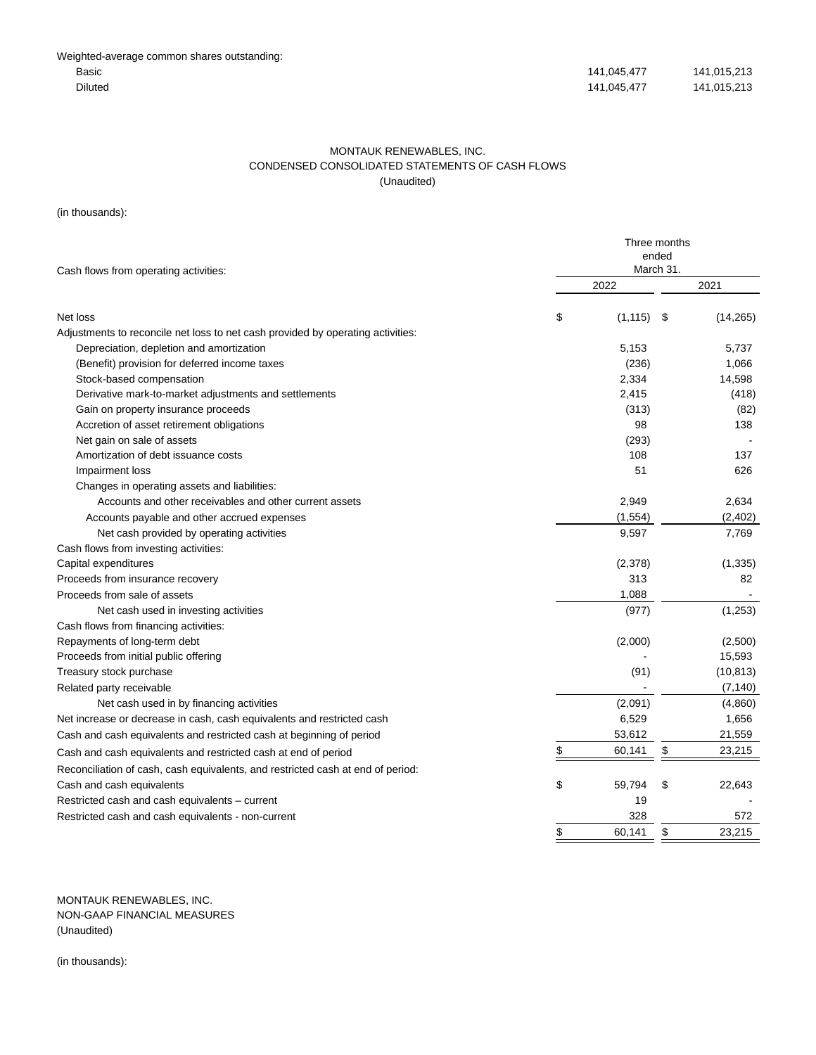### MONTAUK RENEWABLES, INC. CONDENSED CONSOLIDATED STATEMENTS OF CASH FLOWS (Unaudited)

(in thousands):

| Cash flows from operating activities:                                           | Three months<br>ended<br>March 31. |    |           |  |
|---------------------------------------------------------------------------------|------------------------------------|----|-----------|--|
|                                                                                 | 2022                               |    | 2021      |  |
| Net loss                                                                        | \$<br>(1, 115)                     | \$ | (14,265)  |  |
| Adjustments to reconcile net loss to net cash provided by operating activities: |                                    |    |           |  |
| Depreciation, depletion and amortization                                        | 5,153                              |    | 5,737     |  |
| (Benefit) provision for deferred income taxes                                   | (236)                              |    | 1,066     |  |
| Stock-based compensation                                                        | 2,334                              |    | 14,598    |  |
| Derivative mark-to-market adjustments and settlements                           | 2,415                              |    | (418)     |  |
| Gain on property insurance proceeds                                             | (313)                              |    | (82)      |  |
| Accretion of asset retirement obligations                                       | 98                                 |    | 138       |  |
| Net gain on sale of assets                                                      | (293)                              |    |           |  |
| Amortization of debt issuance costs                                             | 108                                |    | 137       |  |
| Impairment loss                                                                 | 51                                 |    | 626       |  |
| Changes in operating assets and liabilities:                                    |                                    |    |           |  |
| Accounts and other receivables and other current assets                         | 2,949                              |    | 2,634     |  |
| Accounts payable and other accrued expenses                                     | (1, 554)                           |    | (2, 402)  |  |
| Net cash provided by operating activities                                       | 9,597                              |    | 7,769     |  |
| Cash flows from investing activities:                                           |                                    |    |           |  |
| Capital expenditures                                                            | (2,378)                            |    | (1, 335)  |  |
| Proceeds from insurance recovery                                                | 313                                |    | 82        |  |
| Proceeds from sale of assets                                                    | 1,088                              |    |           |  |
| Net cash used in investing activities                                           | (977)                              |    | (1,253)   |  |
| Cash flows from financing activities:                                           |                                    |    |           |  |
| Repayments of long-term debt                                                    | (2,000)                            |    | (2,500)   |  |
| Proceeds from initial public offering                                           |                                    |    | 15,593    |  |
| Treasury stock purchase                                                         | (91)                               |    | (10, 813) |  |
| Related party receivable                                                        |                                    |    | (7, 140)  |  |
| Net cash used in by financing activities                                        | (2,091)                            |    | (4,860)   |  |
| Net increase or decrease in cash, cash equivalents and restricted cash          | 6,529                              |    | 1,656     |  |
| Cash and cash equivalents and restricted cash at beginning of period            | 53,612                             |    | 21,559    |  |
| Cash and cash equivalents and restricted cash at end of period                  | \$<br>60,141                       | \$ | 23,215    |  |
| Reconciliation of cash, cash equivalents, and restricted cash at end of period: |                                    |    |           |  |
| Cash and cash equivalents                                                       | \$<br>59,794                       | \$ | 22,643    |  |
| Restricted cash and cash equivalents - current                                  | 19                                 |    |           |  |
| Restricted cash and cash equivalents - non-current                              | 328                                |    | 572       |  |
|                                                                                 | \$<br>60.141                       | \$ | 23.215    |  |

MONTAUK RENEWABLES, INC. NON-GAAP FINANCIAL MEASURES (Unaudited)

(in thousands):